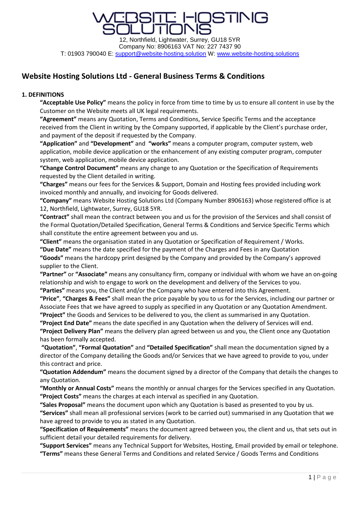**STINIG** 

#### **Website Hosting Solutions Ltd - General Business Terms & Conditions**

#### **1. DEFINITIONS**

**"Acceptable Use Policy"** means the policy in force from time to time by us to ensure all content in use by the Customer on the Website meets all UK legal requirements.

**"Agreement"** means any Quotation, Terms and Conditions, Service Specific Terms and the acceptance received from the Client in writing by the Company supported, if applicable by the Client's purchase order, and payment of the deposit if requested by the Company.

**"Application"** and **"Development"** and **"works"** means a computer program, computer system, web application, mobile device application or the enhancement of any existing computer program, computer system, web application, mobile device application.

**"Change Control Document"** means any change to any Quotation or the Specification of Requirements requested by the Client detailed in writing.

**"Charges"** means our fees for the Services & Support, Domain and Hosting fees provided including work invoiced monthly and annually, and invoicing for Goods delivered.

**"Company"** means Website Hosting Solutions Ltd (Company Number 8906163) whose registered office is at 12, Northfield, Lightwater, Surrey, GU18 5YR.

**"Contract"** shall mean the contract between you and us for the provision of the Services and shall consist of the Formal Quotation/Detailed Specification, General Terms & Conditions and Service Specific Terms which shall constitute the entire agreement between you and us.

**"Client"** means the organisation stated in any Quotation or Specification of Requirement / Works.

**"Due Date"** means the date specified for the payment of the Charges and Fees in any Quotation **"Goods"** means the hardcopy print designed by the Company and provided by the Company's approved

supplier to the Client.

**"Partner"** or **"Associate"** means any consultancy firm, company or individual with whom we have an on-going relationship and wish to engage to work on the development and delivery of the Services to you. **"Parties"** means you, the Client and/or the Company who have entered into this Agreement.

**"Price"**, **"Charges & Fees"** shall mean the price payable by you to us for the Services, including our partner or Associate Fees that we have agreed to supply as specified in any Quotation or any Quotation Amendment.

**"Project"** the Goods and Services to be delivered to you, the client as summarised in any Quotation.

**"Project End Date"** means the date specified in any Quotation when the delivery of Services will end. **"Project Delivery Plan"** means the delivery plan agreed between us and you, the Client once any Quotation has been formally accepted.

**"Quotation"**, **"Formal Quotation"** and **"Detailed Specification"** shall mean the documentation signed by a director of the Company detailing the Goods and/or Services that we have agreed to provide to you, under this contract and price.

**"Quotation Addendum"** means the document signed by a director of the Company that details the changes to any Quotation.

**"Monthly or Annual Costs"** means the monthly or annual charges for the Services specified in any Quotation. **"Project Costs"** means the charges at each interval as specified in any Quotation.

**"Sales Proposal"** means the document upon which any Quotation is based as presented to you by us. **"Services"** shall mean all professional services (work to be carried out) summarised in any Quotation that we have agreed to provide to you as stated in any Quotation.

**"Specification of Requirements"** means the document agreed between you, the client and us, that sets out in sufficient detail your detailed requirements for delivery.

**"Support Services"** means any Technical Support for Websites, Hosting, Email provided by email or telephone. **"Terms"** means these General Terms and Conditions and related Service / Goods Terms and Conditions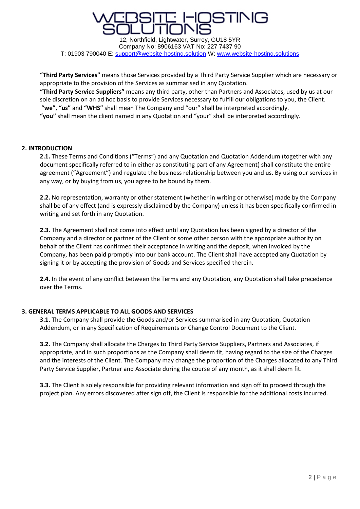

**"Third Party Services"** means those Services provided by a Third Party Service Supplier which are necessary or appropriate to the provision of the Services as summarised in any Quotation.

**"Third Party Service Suppliers"** means any third party, other than Partners and Associates, used by us at our sole discretion on an ad hoc basis to provide Services necessary to fulfill our obligations to you, the Client. **"we"**, **"us"** and **"WHS"** shall mean The Company and "our" shall be interpreted accordingly.

**"you"** shall mean the client named in any Quotation and "your" shall be interpreted accordingly.

#### **2. INTRODUCTION**

**2.1.** These Terms and Conditions ("Terms") and any Quotation and Quotation Addendum (together with any document specifically referred to in either as constituting part of any Agreement) shall constitute the entire agreement ("Agreement") and regulate the business relationship between you and us. By using our services in any way, or by buying from us, you agree to be bound by them.

**2.2.** No representation, warranty or other statement (whether in writing or otherwise) made by the Company shall be of any effect (and is expressly disclaimed by the Company) unless it has been specifically confirmed in writing and set forth in any Quotation.

**2.3.** The Agreement shall not come into effect until any Quotation has been signed by a director of the Company and a director or partner of the Client or some other person with the appropriate authority on behalf of the Client has confirmed their acceptance in writing and the deposit, when invoiced by the Company, has been paid promptly into our bank account. The Client shall have accepted any Quotation by signing it or by accepting the provision of Goods and Services specified therein.

**2.4.** In the event of any conflict between the Terms and any Quotation, any Quotation shall take precedence over the Terms.

#### **3. GENERAL TERMS APPLICABLE TO ALL GOODS AND SERVICES**

**3.1.** The Company shall provide the Goods and/or Services summarised in any Quotation, Quotation Addendum, or in any Specification of Requirements or Change Control Document to the Client.

**3.2.** The Company shall allocate the Charges to Third Party Service Suppliers, Partners and Associates, if appropriate, and in such proportions as the Company shall deem fit, having regard to the size of the Charges and the interests of the Client. The Company may change the proportion of the Charges allocated to any Third Party Service Supplier, Partner and Associate during the course of any month, as it shall deem fit.

**3.3.** The Client is solely responsible for providing relevant information and sign off to proceed through the project plan. Any errors discovered after sign off, the Client is responsible for the additional costs incurred.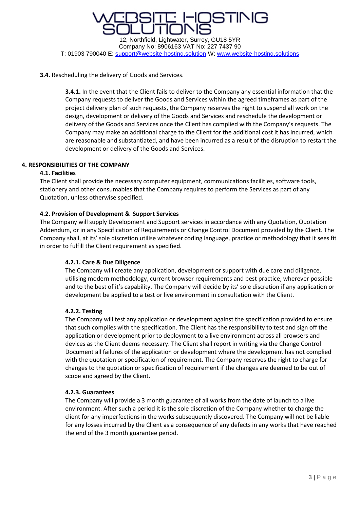

#### **3.4.** Rescheduling the delivery of Goods and Services.

**3.4.1.** In the event that the Client fails to deliver to the Company any essential information that the Company requests to deliver the Goods and Services within the agreed timeframes as part of the project delivery plan of such requests, the Company reserves the right to suspend all work on the design, development or delivery of the Goods and Services and reschedule the development or delivery of the Goods and Services once the Client has complied with the Company's requests. The Company may make an additional charge to the Client for the additional cost it has incurred, which are reasonable and substantiated, and have been incurred as a result of the disruption to restart the development or delivery of the Goods and Services.

#### **4. RESPONSIBILITIES OF THE COMPANY**

#### **4.1. Facilities**

The Client shall provide the necessary computer equipment, communications facilities, software tools, stationery and other consumables that the Company requires to perform the Services as part of any Quotation, unless otherwise specified.

#### **4.2. Provision of Development & Support Services**

The Company will supply Development and Support services in accordance with any Quotation, Quotation Addendum, or in any Specification of Requirements or Change Control Document provided by the Client. The Company shall, at its' sole discretion utilise whatever coding language, practice or methodology that it sees fit in order to fulfill the Client requirement as specified.

#### **4.2.1. Care & Due Diligence**

The Company will create any application, development or support with due care and diligence, utilising modern methodology, current browser requirements and best practice, wherever possible and to the best of it's capability. The Company will decide by its' sole discretion if any application or development be applied to a test or live environment in consultation with the Client.

#### **4.2.2. Testing**

The Company will test any application or development against the specification provided to ensure that such complies with the specification. The Client has the responsibility to test and sign off the application or development prior to deployment to a live environment across all browsers and devices as the Client deems necessary. The Client shall report in writing via the Change Control Document all failures of the application or development where the development has not complied with the quotation or specification of requirement. The Company reserves the right to charge for changes to the quotation or specification of requirement if the changes are deemed to be out of scope and agreed by the Client.

#### **4.2.3. Guarantees**

The Company will provide a 3 month guarantee of all works from the date of launch to a live environment. After such a period it is the sole discretion of the Company whether to charge the client for any imperfections in the works subsequently discovered. The Company will not be liable for any losses incurred by the Client as a consequence of any defects in any works that have reached the end of the 3 month guarantee period.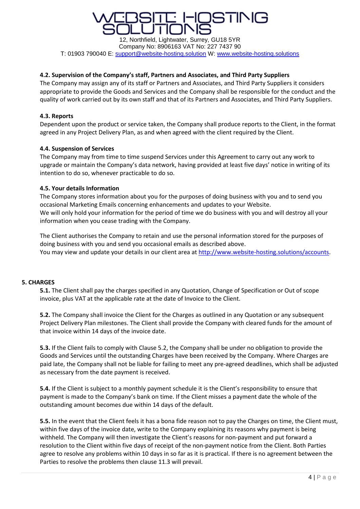## STINK

12, Northfield, Lightwater, Surrey, GU18 5YR Company No: 8906163 VAT No: 227 7437 90 T: 01903 790040 E: [support@website-hosting.solution](mailto:support@website-hosting.solution) W: [www.website-hosting.solutions](http://www.website-hosting.solutions/)

#### **4.2. Supervision of the Company's staff, Partners and Associates, and Third Party Suppliers**

The Company may assign any of its staff or Partners and Associates, and Third Party Suppliers it considers appropriate to provide the Goods and Services and the Company shall be responsible for the conduct and the quality of work carried out by its own staff and that of its Partners and Associates, and Third Party Suppliers.

#### **4.3. Reports**

Dependent upon the product or service taken, the Company shall produce reports to the Client, in the format agreed in any Project Delivery Plan, as and when agreed with the client required by the Client.

#### **4.4. Suspension of Services**

The Company may from time to time suspend Services under this Agreement to carry out any work to upgrade or maintain the Company's data network, having provided at least five days' notice in writing of its intention to do so, whenever practicable to do so.

#### **4.5. Your details Information**

The Company stores information about you for the purposes of doing business with you and to send you occasional Marketing Emails concerning enhancements and updates to your Website. We will only hold your information for the period of time we do business with you and will destroy all your information when you cease trading with the Company.

The Client authorises the Company to retain and use the personal information stored for the purposes of doing business with you and send you occasional emails as described above. You may view and update your details in our client area at [http://www.website-hosting.solutions/accounts.](http://www.website-hosting.solutions/accounts)

#### **5. CHARGES**

**5.1.** The Client shall pay the charges specified in any Quotation, Change of Specification or Out of scope invoice, plus VAT at the applicable rate at the date of Invoice to the Client.

**5.2.** The Company shall invoice the Client for the Charges as outlined in any Quotation or any subsequent Project Delivery Plan milestones. The Client shall provide the Company with cleared funds for the amount of that invoice within 14 days of the invoice date.

**5.3.** If the Client fails to comply with Clause 5.2, the Company shall be under no obligation to provide the Goods and Services until the outstanding Charges have been received by the Company. Where Charges are paid late, the Company shall not be liable for failing to meet any pre-agreed deadlines, which shall be adjusted as necessary from the date payment is received.

**5.4.** If the Client is subject to a monthly payment schedule it is the Client's responsibility to ensure that payment is made to the Company's bank on time. If the Client misses a payment date the whole of the outstanding amount becomes due within 14 days of the default.

**5.5.** In the event that the Client feels it has a bona fide reason not to pay the Charges on time, the Client must, within five days of the invoice date, write to the Company explaining its reasons why payment is being withheld. The Company will then investigate the Client's reasons for non-payment and put forward a resolution to the Client within five days of receipt of the non-payment notice from the Client. Both Parties agree to resolve any problems within 10 days in so far as it is practical. If there is no agreement between the Parties to resolve the problems then clause 11.3 will prevail.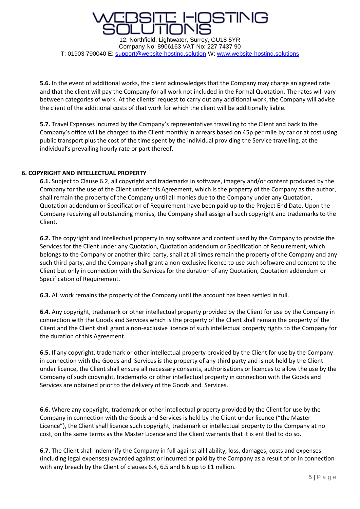### STINIC 12, Northfield, Lightwater, Surrey, GU18 5YR Company No: 8906163 VAT No: 227 7437 90

T: 01903 790040 E: [support@website-hosting.solution](mailto:support@website-hosting.solution) W: [www.website-hosting.solutions](http://www.website-hosting.solutions/)

**5.6.** In the event of additional works, the client acknowledges that the Company may charge an agreed rate and that the client will pay the Company for all work not included in the Formal Quotation. The rates will vary between categories of work. At the clients' request to carry out any additional work, the Company will advise the client of the additional costs of that work for which the client will be additionally liable.

**5.7.** Travel Expenses incurred by the Company's representatives travelling to the Client and back to the Company's office will be charged to the Client monthly in arrears based on 45p per mile by car or at cost using public transport plus the cost of the time spent by the individual providing the Service travelling, at the individual's prevailing hourly rate or part thereof.

#### **6. COPYRIGHT AND INTELLECTUAL PROPERTY**

**6.1.** Subject to Clause 6.2, all copyright and trademarks in software, imagery and/or content produced by the Company for the use of the Client under this Agreement, which is the property of the Company as the author, shall remain the property of the Company until all monies due to the Company under any Quotation, Quotation addendum or Specification of Requirement have been paid up to the Project End Date. Upon the Company receiving all outstanding monies, the Company shall assign all such copyright and trademarks to the Client.

**6.2.** The copyright and intellectual property in any software and content used by the Company to provide the Services for the Client under any Quotation, Quotation addendum or Specification of Requirement, which belongs to the Company or another third party, shall at all times remain the property of the Company and any such third party, and the Company shall grant a non-exclusive licence to use such software and content to the Client but only in connection with the Services for the duration of any Quotation, Quotation addendum or Specification of Requirement.

**6.3.** All work remains the property of the Company until the account has been settled in full.

**6.4.** Any copyright, trademark or other intellectual property provided by the Client for use by the Company in connection with the Goods and Services which is the property of the Client shall remain the property of the Client and the Client shall grant a non-exclusive licence of such intellectual property rights to the Company for the duration of this Agreement.

**6.5.** If any copyright, trademark or other intellectual property provided by the Client for use by the Company in connection with the Goods and Services is the property of any third party and is not held by the Client under licence, the Client shall ensure all necessary consents, authorisations or licences to allow the use by the Company of such copyright, trademarks or other intellectual property in connection with the Goods and Services are obtained prior to the delivery of the Goods and Services.

**6.6.** Where any copyright, trademark or other intellectual property provided by the Client for use by the Company in connection with the Goods and Services is held by the Client under licence ("the Master Licence"), the Client shall licence such copyright, trademark or intellectual property to the Company at no cost, on the same terms as the Master Licence and the Client warrants that it is entitled to do so.

**6.7.** The Client shall indemnify the Company in full against all liability, loss, damages, costs and expenses (including legal expenses) awarded against or incurred or paid by the Company as a result of or in connection with any breach by the Client of clauses 6.4, 6.5 and 6.6 up to £1 million.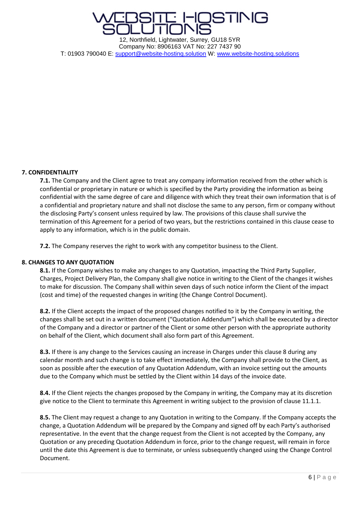

#### **7. CONFIDENTIALITY**

**7.1.** The Company and the Client agree to treat any company information received from the other which is confidential or proprietary in nature or which is specified by the Party providing the information as being confidential with the same degree of care and diligence with which they treat their own information that is of a confidential and proprietary nature and shall not disclose the same to any person, firm or company without the disclosing Party's consent unless required by law. The provisions of this clause shall survive the termination of this Agreement for a period of two years, but the restrictions contained in this clause cease to apply to any information, which is in the public domain.

**7.2.** The Company reserves the right to work with any competitor business to the Client.

#### **8. CHANGES TO ANY QUOTATION**

**8.1.** If the Company wishes to make any changes to any Quotation, impacting the Third Party Supplier, Charges, Project Delivery Plan, the Company shall give notice in writing to the Client of the changes it wishes to make for discussion. The Company shall within seven days of such notice inform the Client of the impact (cost and time) of the requested changes in writing (the Change Control Document).

**8.2.** If the Client accepts the impact of the proposed changes notified to it by the Company in writing, the changes shall be set out in a written document ("Quotation Addendum") which shall be executed by a director of the Company and a director or partner of the Client or some other person with the appropriate authority on behalf of the Client, which document shall also form part of this Agreement.

**8.3.** If there is any change to the Services causing an increase in Charges under this clause 8 during any calendar month and such change is to take effect immediately, the Company shall provide to the Client, as soon as possible after the execution of any Quotation Addendum, with an invoice setting out the amounts due to the Company which must be settled by the Client within 14 days of the invoice date.

**8.4.** If the Client rejects the changes proposed by the Company in writing, the Company may at its discretion give notice to the Client to terminate this Agreement in writing subject to the provision of clause 11.1.1.

**8.5.** The Client may request a change to any Quotation in writing to the Company. If the Company accepts the change, a Quotation Addendum will be prepared by the Company and signed off by each Party's authorised representative. In the event that the change request from the Client is not accepted by the Company, any Quotation or any preceding Quotation Addendum in force, prior to the change request, will remain in force until the date this Agreement is due to terminate, or unless subsequently changed using the Change Control Document.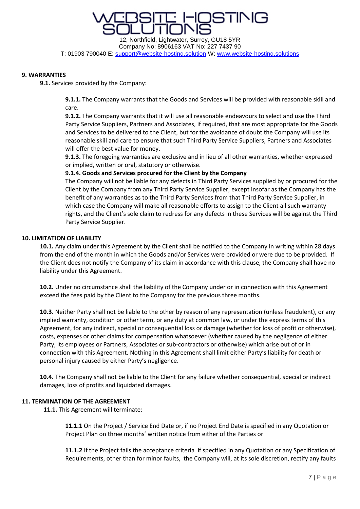**ISTING** 12, Northfield, Lightwater, Surrey, GU18 5YR Company No: 8906163 VAT No: 227 7437 90

T: 01903 790040 E: [support@website-hosting.solution](mailto:support@website-hosting.solution) W: [www.website-hosting.solutions](http://www.website-hosting.solutions/)

#### **9. WARRANTIES**

**9.1.** Services provided by the Company:

**9.1.1.** The Company warrants that the Goods and Services will be provided with reasonable skill and care.

**9.1.2.** The Company warrants that it will use all reasonable endeavours to select and use the Third Party Service Suppliers, Partners and Associates, if required, that are most appropriate for the Goods and Services to be delivered to the Client, but for the avoidance of doubt the Company will use its reasonable skill and care to ensure that such Third Party Service Suppliers, Partners and Associates will offer the best value for money.

**9.1.3.** The foregoing warranties are exclusive and in lieu of all other warranties, whether expressed or implied, written or oral, statutory or otherwise.

#### **9.1.4. Goods and Services procured for the Client by the Company**

The Company will not be liable for any defects in Third Party Services supplied by or procured for the Client by the Company from any Third Party Service Supplier, except insofar as the Company has the benefit of any warranties as to the Third Party Services from that Third Party Service Supplier, in which case the Company will make all reasonable efforts to assign to the Client all such warranty rights, and the Client's sole claim to redress for any defects in these Services will be against the Third Party Service Supplier.

#### **10. LIMITATION OF LIABILITY**

**10.1.** Any claim under this Agreement by the Client shall be notified to the Company in writing within 28 days from the end of the month in which the Goods and/or Services were provided or were due to be provided. If the Client does not notify the Company of its claim in accordance with this clause, the Company shall have no liability under this Agreement.

**10.2.** Under no circumstance shall the liability of the Company under or in connection with this Agreement exceed the fees paid by the Client to the Company for the previous three months.

**10.3.** Neither Party shall not be liable to the other by reason of any representation (unless fraudulent), or any implied warranty, condition or other term, or any duty at common law, or under the express terms of this Agreement, for any indirect, special or consequential loss or damage (whether for loss of profit or otherwise), costs, expenses or other claims for compensation whatsoever (whether caused by the negligence of either Party, its employees or Partners, Associates or sub-contractors or otherwise) which arise out of or in connection with this Agreement. Nothing in this Agreement shall limit either Party's liability for death or personal injury caused by either Party's negligence.

**10.4.** The Company shall not be liable to the Client for any failure whether consequential, special or indirect damages, loss of profits and liquidated damages.

#### **11. TERMINATION OF THE AGREEMENT**

**11.1.** This Agreement will terminate:

**11.1.1** On the Project / Service End Date or, if no Project End Date is specified in any Quotation or Project Plan on three months' written notice from either of the Parties or

**11.1.2** If the Project fails the acceptance criteria if specified in any Quotation or any Specification of Requirements, other than for minor faults, the Company will, at its sole discretion, rectify any faults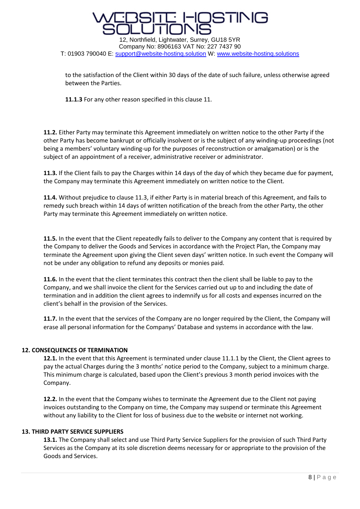# 12, Northfield, Lightwater, Surrey, GU18 5YR

Company No: 8906163 VAT No: 227 7437 90 T: 01903 790040 E: [support@website-hosting.solution](mailto:support@website-hosting.solution) W: [www.website-hosting.solutions](http://www.website-hosting.solutions/)

to the satisfaction of the Client within 30 days of the date of such failure, unless otherwise agreed between the Parties.

**11.1.3** For any other reason specified in this clause 11.

**11.2.** Either Party may terminate this Agreement immediately on written notice to the other Party if the other Party has become bankrupt or officially insolvent or is the subject of any winding-up proceedings (not being a members' voluntary winding-up for the purposes of reconstruction or amalgamation) or is the subject of an appointment of a receiver, administrative receiver or administrator.

**11.3.** If the Client fails to pay the Charges within 14 days of the day of which they became due for payment, the Company may terminate this Agreement immediately on written notice to the Client.

**11.4.** Without prejudice to clause 11.3, if either Party is in material breach of this Agreement, and fails to remedy such breach within 14 days of written notification of the breach from the other Party, the other Party may terminate this Agreement immediately on written notice.

**11.5.** In the event that the Client repeatedly fails to deliver to the Company any content that is required by the Company to deliver the Goods and Services in accordance with the Project Plan, the Company may terminate the Agreement upon giving the Client seven days' written notice. In such event the Company will not be under any obligation to refund any deposits or monies paid.

**11.6.** In the event that the client terminates this contract then the client shall be liable to pay to the Company, and we shall invoice the client for the Services carried out up to and including the date of termination and in addition the client agrees to indemnify us for all costs and expenses incurred on the client's behalf in the provision of the Services.

**11.7.** In the event that the services of the Company are no longer required by the Client, the Company will erase all personal information for the Companys' Database and systems in accordance with the law.

#### **12. CONSEQUENCES OF TERMINATION**

12.1. In the event that this Agreement is terminated under clause 11.1.1 by the Client, the Client agrees to pay the actual Charges during the 3 months' notice period to the Company, subject to a minimum charge. This minimum charge is calculated, based upon the Client's previous 3 month period invoices with the Company.

**12.2.** In the event that the Company wishes to terminate the Agreement due to the Client not paying invoices outstanding to the Company on time, the Company may suspend or terminate this Agreement without any liability to the Client for loss of business due to the website or internet not working.

#### **13. THIRD PARTY SERVICE SUPPLIERS**

**13.1.** The Company shall select and use Third Party Service Suppliers for the provision of such Third Party Services as the Company at its sole discretion deems necessary for or appropriate to the provision of the Goods and Services.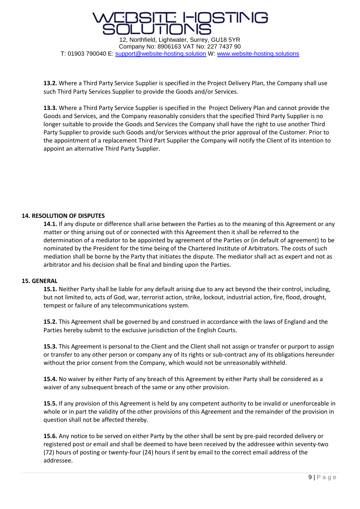

**13.2.** Where a Third Party Service Supplier is specified in the Project Delivery Plan, the Company shall use such Third Party Services Supplier to provide the Goods and/or Services.

**13.3.** Where a Third Party Service Supplier is specified in the Project Delivery Plan and cannot provide the Goods and Services, and the Company reasonably considers that the specified Third Party Supplier is no longer suitable to provide the Goods and Services the Company shall have the right to use another Third Party Supplier to provide such Goods and/or Services without the prior approval of the Customer. Prior to the appointment of a replacement Third Part Supplier the Company will notify the Client of its intention to appoint an alternative Third Party Supplier.

#### **14. RESOLUTION OF DISPUTES**

**14.1.** If any dispute or difference shall arise between the Parties as to the meaning of this Agreement or any matter or thing arising out of or connected with this Agreement then it shall be referred to the determination of a mediator to be appointed by agreement of the Parties or (in default of agreement) to be nominated by the President for the time being of the Chartered Institute of Arbitrators. The costs of such mediation shall be borne by the Party that initiates the dispute. The mediator shall act as expert and not as arbitrator and his decision shall be final and binding upon the Parties.

#### **15. GENERAL**

**15.1.** Neither Party shall be liable for any default arising due to any act beyond the their control, including, but not limited to, acts of God, war, terrorist action, strike, lockout, industrial action, fire, flood, drought, tempest or failure of any telecommunications system.

**15.2.** This Agreement shall be governed by and construed in accordance with the laws of England and the Parties hereby submit to the exclusive jurisdiction of the English Courts.

**15.3.** This Agreement is personal to the Client and the Client shall not assign or transfer or purport to assign or transfer to any other person or company any of its rights or sub-contract any of its obligations hereunder without the prior consent from the Company, which would not be unreasonably withheld.

**15.4.** No waiver by either Party of any breach of this Agreement by either Party shall be considered as a waiver of any subsequent breach of the same or any other provision.

**15.5.** If any provision of this Agreement is held by any competent authority to be invalid or unenforceable in whole or in part the validity of the other provisions of this Agreement and the remainder of the provision in question shall not be affected thereby.

**15.6.** Any notice to be served on either Party by the other shall be sent by pre-paid recorded delivery or registered post or email and shall be deemed to have been received by the addressee within seventy-two (72) hours of posting or twenty-four (24) hours if sent by email to the correct email address of the addressee.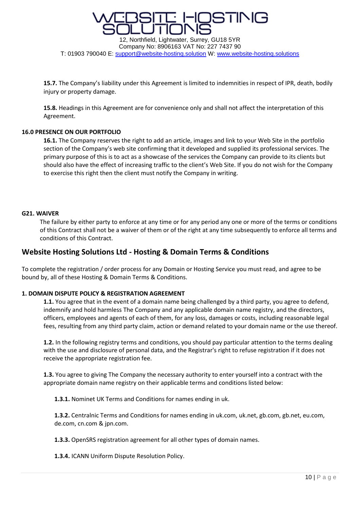

Company No: 8906163 VAT No: 227 7437 90 T: 01903 790040 E: [support@website-hosting.solution](mailto:support@website-hosting.solution) W: [www.website-hosting.solutions](http://www.website-hosting.solutions/)

**15.7.** The Company's liability under this Agreement is limited to indemnities in respect of IPR, death, bodily injury or property damage.

**15.8.** Headings in this Agreement are for convenience only and shall not affect the interpretation of this Agreement.

#### **16.0 PRESENCE ON OUR PORTFOLIO**

**16.1.** The Company reserves the right to add an article, images and link to your Web Site in the portfolio section of the Company's web site confirming that it developed and supplied its professional services. The primary purpose of this is to act as a showcase of the services the Company can provide to its clients but should also have the effect of increasing traffic to the client's Web Site. If you do not wish for the Company to exercise this right then the client must notify the Company in writing.

#### **G21. WAIVER**

The failure by either party to enforce at any time or for any period any one or more of the terms or conditions of this Contract shall not be a waiver of them or of the right at any time subsequently to enforce all terms and conditions of this Contract.

#### **Website Hosting Solutions Ltd - Hosting & Domain Terms & Conditions**

To complete the registration / order process for any Domain or Hosting Service you must read, and agree to be bound by, all of these Hosting & Domain Terms & Conditions.

#### **1. DOMAIN DISPUTE POLICY & REGISTRATION AGREEMENT**

**1.1.** You agree that in the event of a domain name being challenged by a third party, you agree to defend, indemnify and hold harmless The Company and any applicable domain name registry, and the directors, officers, employees and agents of each of them, for any loss, damages or costs, including reasonable legal fees, resulting from any third party claim, action or demand related to your domain name or the use thereof.

**1.2.** In the following registry terms and conditions, you should pay particular attention to the terms dealing with the use and disclosure of personal data, and the Registrar's right to refuse registration if it does not receive the appropriate registration fee.

**1.3.** You agree to giving The Company the necessary authority to enter yourself into a contract with the appropriate domain name registry on their applicable terms and conditions listed below:

**1.3.1.** Nominet UK Terms and Conditions for names ending in uk.

**1.3.2.** Centralnic Terms and Conditions for names ending in uk.com, uk.net, gb.com, gb.net, eu.com, de.com, cn.com & jpn.com.

**1.3.3.** OpenSRS registration agreement for all other types of domain names.

**1.3.4.** ICANN Uniform Dispute Resolution Policy.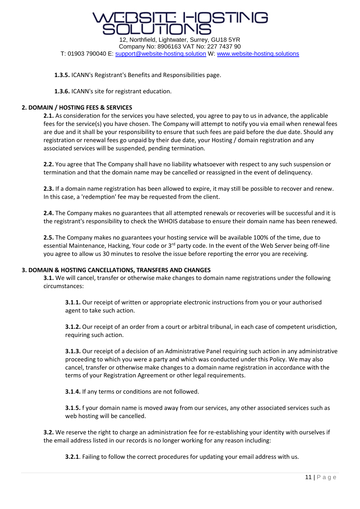

**1.3.5.** ICANN's Registrant's Benefits and Responsibilities page.

**1.3.6.** ICANN's site for registrant education.

#### **2. DOMAIN / HOSTING FEES & SERVICES**

**2.1.** As consideration for the services you have selected, you agree to pay to us in advance, the applicable fees for the service(s) you have chosen. The Company will attempt to notify you via email when renewal fees are due and it shall be your responsibility to ensure that such fees are paid before the due date. Should any registration or renewal fees go unpaid by their due date, your Hosting / domain registration and any associated services will be suspended, pending termination.

**2.2.** You agree that The Company shall have no liability whatsoever with respect to any such suspension or termination and that the domain name may be cancelled or reassigned in the event of delinquency.

**2.3.** If a domain name registration has been allowed to expire, it may still be possible to recover and renew. In this case, a 'redemption' fee may be requested from the client.

**2.4.** The Company makes no guarantees that all attempted renewals or recoveries will be successful and it is the registrant's responsibility to check the WHOIS database to ensure their domain name has been renewed.

**2.5.** The Company makes no guarantees your hosting service will be available 100% of the time, due to essential Maintenance, Hacking, Your code or 3<sup>rd</sup> party code. In the event of the Web Server being off-line you agree to allow us 30 minutes to resolve the issue before reporting the error you are receiving.

#### **3. DOMAIN & HOSTING CANCELLATIONS, TRANSFERS AND CHANGES**

**3.1.** We will cancel, transfer or otherwise make changes to domain name registrations under the following circumstances:

**3.1**.**1.** Our receipt of written or appropriate electronic instructions from you or your authorised agent to take such action.

**3.1.2.** Our receipt of an order from a court or arbitral tribunal, in each case of competent urisdiction, requiring such action.

**3.1.3.** Our receipt of a decision of an Administrative Panel requiring such action in any administrative proceeding to which you were a party and which was conducted under this Policy. We may also cancel, transfer or otherwise make changes to a domain name registration in accordance with the terms of your Registration Agreement or other legal requirements.

**3.1**.**4.** If any terms or conditions are not followed.

**3.1**.**5.** f your domain name is moved away from our services, any other associated services such as web hosting will be cancelled.

**3.2.** We reserve the right to charge an administration fee for re-establishing your identity with ourselves if the email address listed in our records is no longer working for any reason including:

**3.2.1**. Failing to follow the correct procedures for updating your email address with us.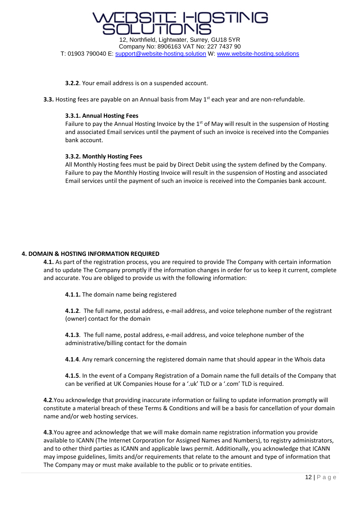

**3.2.2**. Your email address is on a suspended account.

**3.3.** Hosting fees are payable on an Annual basis from May 1<sup>st</sup> each year and are non-refundable.

#### **3.3.1. Annual Hosting Fees**

Failure to pay the Annual Hosting Invoice by the  $1<sup>st</sup>$  of May will result in the suspension of Hosting and associated Email services until the payment of such an invoice is received into the Companies bank account.

#### **3.3.2. Monthly Hosting Fees**

All Monthly Hosting fees must be paid by Direct Debit using the system defined by the Company. Failure to pay the Monthly Hosting Invoice will result in the suspension of Hosting and associated Email services until the payment of such an invoice is received into the Companies bank account.

#### **4. DOMAIN & HOSTING INFORMATION REQUIRED**

**4.1.** As part of the registration process, you are required to provide The Company with certain information and to update The Company promptly if the information changes in order for us to keep it current, complete and accurate. You are obliged to provide us with the following information:

**4.1**.**1.** The domain name being registered

**4.1.2**. The full name, postal address, e-mail address, and voice telephone number of the registrant (owner) contact for the domain

**4.1.3**. The full name, postal address, e-mail address, and voice telephone number of the administrative/billing contact for the domain

**4.1**.**4**. Any remark concerning the registered domain name that should appear in the Whois data

**4.1.5**. In the event of a Company Registration of a Domain name the full details of the Company that can be verified at UK Companies House for a '.uk' TLD or a '.com' TLD is required.

**4.2**.You acknowledge that providing inaccurate information or failing to update information promptly will constitute a material breach of these Terms & Conditions and will be a basis for cancellation of your domain name and/or web hosting services.

**4.3**.You agree and acknowledge that we will make domain name registration information you provide available to ICANN (The Internet Corporation for Assigned Names and Numbers), to registry administrators, and to other third parties as ICANN and applicable laws permit. Additionally, you acknowledge that ICANN may impose guidelines, limits and/or requirements that relate to the amount and type of information that The Company may or must make available to the public or to private entities.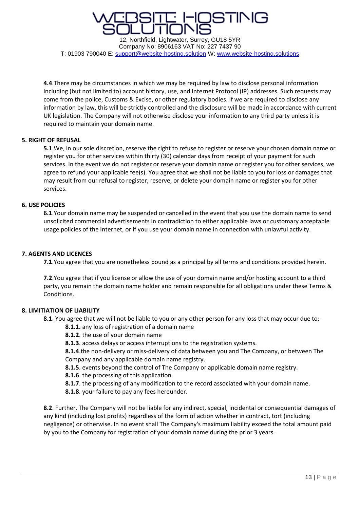

**4.4**.There may be circumstances in which we may be required by law to disclose personal information including (but not limited to) account history, use, and Internet Protocol (IP) addresses. Such requests may come from the police, Customs & Excise, or other regulatory bodies. If we are required to disclose any information by law, this will be strictly controlled and the disclosure will be made in accordance with current UK legislation. The Company will not otherwise disclose your information to any third party unless it is required to maintain your domain name.

#### **5. RIGHT OF REFUSAL**

**5.1**.We, in our sole discretion, reserve the right to refuse to register or reserve your chosen domain name or register you for other services within thirty (30) calendar days from receipt of your payment for such services. In the event we do not register or reserve your domain name or register you for other services, we agree to refund your applicable fee(s). You agree that we shall not be liable to you for loss or damages that may result from our refusal to register, reserve, or delete your domain name or register you for other services.

#### **6. USE POLICIES**

**6.1**.Your domain name may be suspended or cancelled in the event that you use the domain name to send unsolicited commercial advertisements in contradiction to either applicable laws or customary acceptable usage policies of the Internet, or if you use your domain name in connection with unlawful activity.

#### **7. AGENTS AND LICENCES**

**7.1**.You agree that you are nonetheless bound as a principal by all terms and conditions provided herein.

**7.2**.You agree that if you license or allow the use of your domain name and/or hosting account to a third party, you remain the domain name holder and remain responsible for all obligations under these Terms & Conditions.

#### **8. LIMITIATION OF LIABILITY**

- **8.1**. You agree that we will not be liable to you or any other person for any loss that may occur due to:-
	- **8.1**.**1.** any loss of registration of a domain name
	- **8.1.2**. the use of your domain name
	- **8.1.3**. access delays or access interruptions to the registration systems.

**8.1.4**.the non-delivery or miss-delivery of data between you and The Company, or between The Company and any applicable domain name registry.

**8.1.5**. events beyond the control of The Company or applicable domain name registry.

- **8.1.6**. the processing of this application.
- **8.1.7**. the processing of any modification to the record associated with your domain name.
- **8.1.8**. your failure to pay any fees hereunder.

**8.2**. Further, The Company will not be liable for any indirect, special, incidental or consequential damages of any kind (including lost profits) regardless of the form of action whether in contract, tort (including negligence) or otherwise. In no event shall The Company's maximum liability exceed the total amount paid by you to the Company for registration of your domain name during the prior 3 years.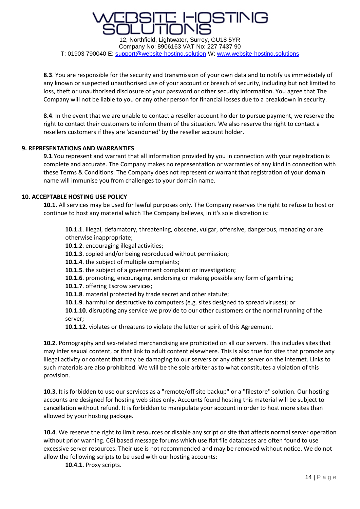### ISTING

12, Northfield, Lightwater, Surrey, GU18 5YR Company No: 8906163 VAT No: 227 7437 90 T: 01903 790040 E: [support@website-hosting.solution](mailto:support@website-hosting.solution) W: [www.website-hosting.solutions](http://www.website-hosting.solutions/)

**8.3**. You are responsible for the security and transmission of your own data and to notify us immediately of any known or suspected unauthorised use of your account or breach of security, including but not limited to loss, theft or unauthorised disclosure of your password or other security information. You agree that The Company will not be liable to you or any other person for financial losses due to a breakdown in security.

**8.4**. In the event that we are unable to contact a reseller account holder to pursue payment, we reserve the right to contact their customers to inform them of the situation. We also reserve the right to contact a resellers customers if they are 'abandoned' by the reseller account holder.

#### **9. REPRESENTATIONS AND WARRANTIES**

**9.1**.You represent and warrant that all information provided by you in connection with your registration is complete and accurate. The Company makes no representation or warranties of any kind in connection with these Terms & Conditions. The Company does not represent or warrant that registration of your domain name will immunise you from challenges to your domain name.

#### **10. ACCEPTABLE HOSTING USE POLICY**

**10.1**. All services may be used for lawful purposes only. The Company reserves the right to refuse to host or continue to host any material which The Company believes, in it's sole discretion is:

**10.1.1**. illegal, defamatory, threatening, obscene, vulgar, offensive, dangerous, menacing or are otherwise inappropriate;

- **10.1.2**. encouraging illegal activities;
- **10.1.3**. copied and/or being reproduced without permission;
- **10.1.4**. the subject of multiple complaints;
- **10.1.5**. the subject of a government complaint or investigation;
- **10.1.6**. promoting, encouraging, endorsing or making possible any form of gambling;
- **10.1.7**. offering Escrow services;
- **10.1.8**. material protected by trade secret and other statute;
- **10.1.9**. harmful or destructive to computers (e.g. sites designed to spread viruses); or

**10.1.10**. disrupting any service we provide to our other customers or the normal running of the server;

**10.1.12**. violates or threatens to violate the letter or spirit of this Agreement.

**10.2**. Pornography and sex-related merchandising are prohibited on all our servers. This includes sites that may infer sexual content, or that link to adult content elsewhere. This is also true for sites that promote any illegal activity or content that may be damaging to our servers or any other server on the internet. Links to such materials are also prohibited. We will be the sole arbiter as to what constitutes a violation of this provision.

**10.3**. It is forbidden to use our services as a "remote/off site backup" or a "filestore" solution. Our hosting accounts are designed for hosting web sites only. Accounts found hosting this material will be subject to cancellation without refund. It is forbidden to manipulate your account in order to host more sites than allowed by your hosting package.

**10.4**. We reserve the right to limit resources or disable any script or site that affects normal server operation without prior warning. CGI based message forums which use flat file databases are often found to use excessive server resources. Their use is not recommended and may be removed without notice. We do not allow the following scripts to be used with our hosting accounts:

**10.4.1.** Proxy scripts.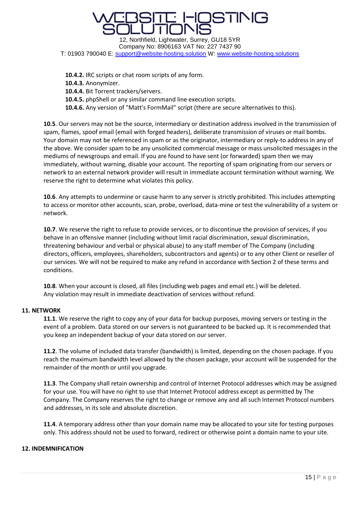### STINIC 12, Northfield, Lightwater, Surrey, GU18 5YR

Company No: 8906163 VAT No: 227 7437 90 T: 01903 790040 E: [support@website-hosting.solution](mailto:support@website-hosting.solution) W: [www.website-hosting.solutions](http://www.website-hosting.solutions/)

**10.4.2.** IRC scripts or chat room scripts of any form. **10.4.3.** Anonymizer. **10.4.4.** Bit Torrent trackers/servers. **10.4.5.** phpShell or any similar command line execution scripts. **10.4.6.** Any version of "Matt's FormMail" script (there are secure alternatives to this).

**10.5**. Our servers may not be the source, intermediary or destination address involved in the transmission of spam, flames, spoof email (email with forged headers), deliberate transmission of viruses or mail bombs. Your domain may not be referenced in spam or as the originator, intermediary or reply-to address in any of the above. We consider spam to be any unsolicited commercial message or mass unsolicited messages in the mediums of newsgroups and email. If you are found to have sent (or forwarded) spam then we may immediately, without warning, disable your account. The reporting of spam originating from our servers or network to an external network provider will result in immediate account termination without warning. We reserve the right to determine what violates this policy.

**10.6**. Any attempts to undermine or cause harm to any server is strictly prohibited. This includes attempting to access or monitor other accounts, scan, probe, overload, data-mine or test the vulnerability of a system or network.

**10.7**. We reserve the right to refuse to provide services, or to discontinue the provision of services, if you behave in an offensive manner (including without limit racial discrimination, sexual discrimination, threatening behaviour and verbal or physical abuse) to any staff member of The Company (including directors, officers, employees, shareholders, subcontractors and agents) or to any other Client or reseller of our services. We will not be required to make any refund in accordance with Section 2 of these terms and conditions.

**10.8**. When your account is closed, all files (including web pages and email etc.) will be deleted. Any violation may result in immediate deactivation of services without refund.

#### **11. NETWORK**

**11.1**. We reserve the right to copy any of your data for backup purposes, moving servers or testing in the event of a problem. Data stored on our servers is not guaranteed to be backed up. It is recommended that you keep an independent backup of your data stored on our server.

**11.2**. The volume of included data transfer (bandwidth) is limited, depending on the chosen package. If you reach the maximum bandwidth level allowed by the chosen package, your account will be suspended for the remainder of the month or until you upgrade.

**11.3**. The Company shall retain ownership and control of Internet Protocol addresses which may be assigned for your use. You will have no right to use that Internet Protocol address except as permitted by The Company. The Company reserves the right to change or remove any and all such Internet Protocol numbers and addresses, in its sole and absolute discretion.

**11.4**. A temporary address other than your domain name may be allocated to your site for testing purposes only. This address should not be used to forward, redirect or otherwise point a domain name to your site.

#### **12. INDEMNIFICATION**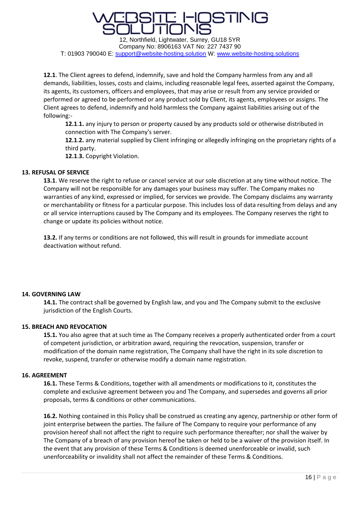## STINIC

12, Northfield, Lightwater, Surrey, GU18 5YR Company No: 8906163 VAT No: 227 7437 90 T: 01903 790040 E: [support@website-hosting.solution](mailto:support@website-hosting.solution) W: [www.website-hosting.solutions](http://www.website-hosting.solutions/)

**12.1**. The Client agrees to defend, indemnify, save and hold the Company harmless from any and all demands, liabilities, losses, costs and claims, including reasonable legal fees, asserted against the Company, its agents, its customers, officers and employees, that may arise or result from any service provided or performed or agreed to be performed or any product sold by Client, its agents, employees or assigns. The Client agrees to defend, indemnify and hold harmless the Company against liabilities arising out of the following:-

**12.1**.**1.** any injury to person or property caused by any products sold or otherwise distributed in connection with The Company's server.

**12.1**.**2.** any material supplied by Client infringing or allegedly infringing on the proprietary rights of a third party.

**12.1**.**3.** Copyright Violation.

#### **13. REFUSAL OF SERVICE**

**13.1**. We reserve the right to refuse or cancel service at our sole discretion at any time without notice. The Company will not be responsible for any damages your business may suffer. The Company makes no warranties of any kind, expressed or implied, for services we provide. The Company disclaims any warranty or merchantability or fitness for a particular purpose. This includes loss of data resulting from delays and any or all service interruptions caused by The Company and its employees. The Company reserves the right to change or update its policies without notice.

**13.2.** If any terms or conditions are not followed, this will result in grounds for immediate account deactivation without refund.

#### **14. GOVERNING LAW**

**14.1.** The contract shall be governed by English law, and you and The Company submit to the exclusive jurisdiction of the English Courts.

#### **15. BREACH AND REVOCATION**

**15.1.** You also agree that at such time as The Company receives a properly authenticated order from a court of competent jurisdiction, or arbitration award, requiring the revocation, suspension, transfer or modification of the domain name registration, The Company shall have the right in its sole discretion to revoke, suspend, transfer or otherwise modify a domain name registration.

#### **16. AGREEMENT**

**16.1.** These Terms & Conditions, together with all amendments or modifications to it, constitutes the complete and exclusive agreement between you and The Company, and supersedes and governs all prior proposals, terms & conditions or other communications.

**16.2.** Nothing contained in this Policy shall be construed as creating any agency, partnership or other form of joint enterprise between the parties. The failure of The Company to require your performance of any provision hereof shall not affect the right to require such performance thereafter; nor shall the waiver by The Company of a breach of any provision hereof be taken or held to be a waiver of the provision itself. In the event that any provision of these Terms & Conditions is deemed unenforceable or invalid, such unenforceability or invalidity shall not affect the remainder of these Terms & Conditions.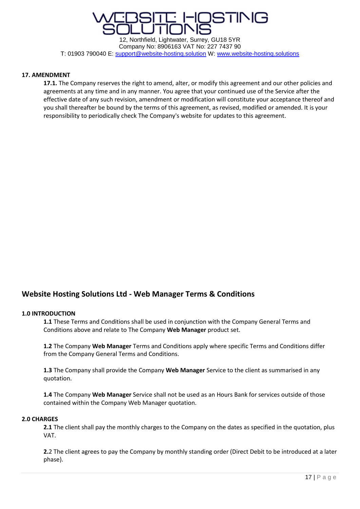

#### **17. AMENDMENT**

**17.1.** The Company reserves the right to amend, alter, or modify this agreement and our other policies and agreements at any time and in any manner. You agree that your continued use of the Service after the effective date of any such revision, amendment or modification will constitute your acceptance thereof and you shall thereafter be bound by the terms of this agreement, as revised, modified or amended. It is your responsibility to periodically check The Company's website for updates to this agreement.

#### **Website Hosting Solutions Ltd - Web Manager Terms & Conditions**

#### **1.0 INTRODUCTION**

**1.1** These Terms and Conditions shall be used in conjunction with the Company General Terms and Conditions above and relate to The Company **Web Manager** product set.

**1.2** The Company **Web Manager** Terms and Conditions apply where specific Terms and Conditions differ from the Company General Terms and Conditions.

**1.3** The Company shall provide the Company **Web Manager** Service to the client as summarised in any quotation.

**1.4** The Company **Web Manager** Service shall not be used as an Hours Bank for services outside of those contained within the Company Web Manager quotation.

#### **2.0 CHARGES**

**2.1** The client shall pay the monthly charges to the Company on the dates as specified in the quotation, plus VAT.

**2.**2 The client agrees to pay the Company by monthly standing order (Direct Debit to be introduced at a later phase).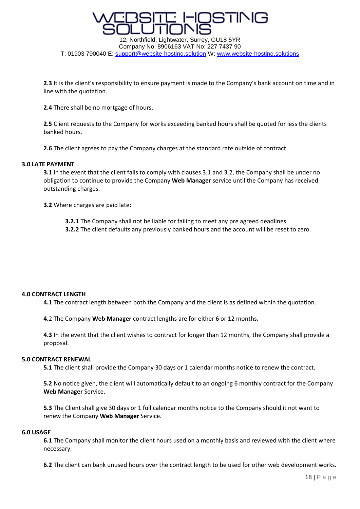

T: 01903 790040 E: [support@website-hosting.solution](mailto:support@website-hosting.solution) W: [www.website-hosting.solutions](http://www.website-hosting.solutions/)

**2.3** It is the client's responsibility to ensure payment is made to the Company's bank account on time and in line with the quotation.

**2.4** There shall be no mortgage of hours.

**2.5** Client requests to the Company for works exceeding banked hours shall be quoted for less the clients banked hours.

**2.6** The client agrees to pay the Company charges at the standard rate outside of contract.

#### **3.0 LATE PAYMENT**

**3.1** In the event that the client fails to comply with clauses 3.1 and 3.2, the Company shall be under no obligation to continue to provide the Company **Web Manager** service until the Company has received outstanding charges.

**3.2** Where charges are paid late:

- **3.2.1** The Company shall not be liable for failing to meet any pre agreed deadlines
- **3.2.2** The client defaults any previously banked hours and the account will be reset to zero.

#### **4.0 CONTRACT LENGTH**

**4.1** The contract length between both the Company and the client is as defined within the quotation.

**4.**2 The Company **Web Manager** contract lengths are for either 6 or 12 months.

**4.3** In the event that the client wishes to contract for longer than 12 months, the Company shall provide a proposal.

#### **5.0 CONTRACT RENEWAL**

**5.1** The client shall provide the Company 30 days or 1 calendar months notice to renew the contract.

**5.2** No notice given, the client will automatically default to an ongoing 6 monthly contract for the Company **Web Manager** Service.

**5.3** The Client shall give 30 days or 1 full calendar months notice to the Company should it not want to renew the Company **Web Manager** Service.

#### **6.0 USAGE**

**6.1** The Company shall monitor the client hours used on a monthly basis and reviewed with the client where necessary.

**6.2** The client can bank unused hours over the contract length to be used for other web development works.